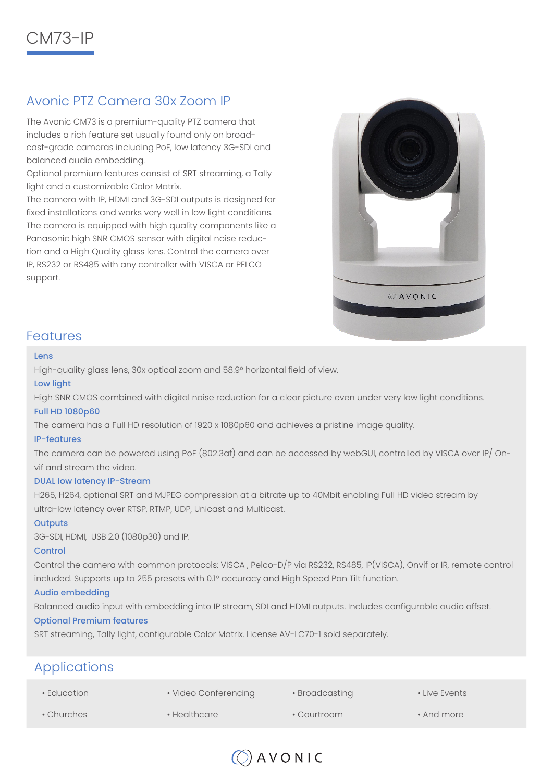

# Avonic PTZ Camera 30x Zoom IP

The Avonic CM73 is a premium-quality PTZ camera that includes a rich feature set usually found only on broadcast-grade cameras including PoE, low latency 3G-SDI and balanced audio embedding.

Optional premium features consist of SRT streaming, a Tally light and a customizable Color Matrix.

The camera with IP, HDMI and 3G-SDI outputs is designed for fixed installations and works very well in low light conditions. The camera is equipped with high quality components like a Panasonic high SNR CMOS sensor with digital noise reduction and a High Quality glass lens. Control the camera over IP, RS232 or RS485 with any controller with VISCA or PELCO support.



### Features

#### Lens

High-quality glass lens, 30x optical zoom and 58.9° horizontal field of view.

#### Low light

High SNR CMOS combined with digital noise reduction for a clear picture even under very low light conditions.

#### Full HD 1080p60

The camera has a Full HD resolution of 1920 x 1080p60 and achieves a pristine image quality.

#### IP-features

The camera can be powered using PoE (802.3af) and can be accessed by webGUI, controlled by VISCA over IP/ Onvif and stream the video.

#### DUAL low latency IP-Stream

H265, H264, optional SRT and MJPEG compression at a bitrate up to 40Mbit enabling Full HD video stream by ultra-low latency over RTSP, RTMP, UDP, Unicast and Multicast.

#### **Outputs**

3G-SDI, HDMI, USB 2.0 (1080p30) and IP.

#### Control

Control the camera with common protocols: VISCA , Pelco-D/P via RS232, RS485, IP(VISCA), Onvif or IR, remote control included. Supports up to 255 presets with 0.1° accuracy and High Speed Pan Tilt function.

#### Audio embedding

Balanced audio input with embedding into IP stream, SDI and HDMI outputs. Includes configurable audio offset.

#### Optional Premium features

SRT streaming, Tally light, configurable Color Matrix. License AV-LC70-1 sold separately.

# Applications

• Education • Churches • Video Conferencing • Healthcare • Broadcasting • Courtroom • Live Events • And more